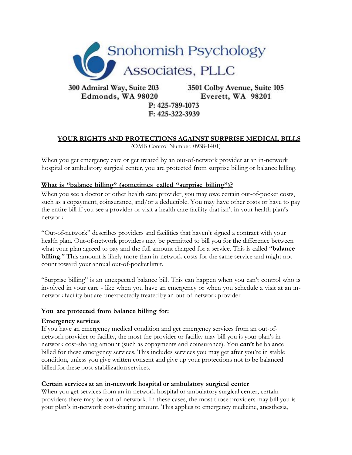

Edmonds, WA 98020

3501 Colby Avenue, Suite 105 Everett, WA 98201

# P: 425-789-1073 F: 425-322-3939

#### **YOUR RIGHTS AND PROTECTIONS AGAINST SURPRISE MEDICAL BILLS** (OMB Control Number: 0938-1401)

When you get emergency care or get treated by an out-of-network provider at an in-network hospital or ambulatory surgical center, you are protected from surprise billing or balance billing.

## **What is "balance billing" (sometimes called "surprise billing")?**

When you see a doctor or other health care provider, you may owe certain out-of-pocket costs, such as a copayment, coinsurance, and/or a deductible. You may have other costs or have to pay the entire bill if you see a provider or visit a health care facility that isn't in your health plan's network.

"Out-of-network" describes providers and facilities that haven't signed a contract with your health plan. Out-of-network providers may be permitted to bill you for the difference between what your plan agreed to pay and the full amount charged for a service. This is called "**balance billing**." This amount is likely more than in-network costs for the same service and might not count toward your annual out-of-pocket limit.

"Surprise billing" is an unexpected balance bill. This can happen when you can't control who is involved in your care - like when you have an emergency or when you schedule a visit at an innetwork facility but are unexpectedly treated by an out-of-network provider.

### **You are protected from balance billing for:**

### **Emergency services**

If you have an emergency medical condition and get emergency services from an out-ofnetwork provider or facility, the most the provider or facility may bill you is your plan's innetwork cost-sharing amount (such as copayments and coinsurance). You **can't** be balance billed for these emergency services. This includes services you may get after you're in stable condition, unless you give written consent and give up your protections not to be balanced billed forthese post-stabilization services.

### **Certain services at an in-network hospital or ambulatory surgical center**

When you get services from an in-network hospital or ambulatory surgical center, certain providers there may be out-of-network. In these cases, the most those providers may bill you is your plan's in-network cost-sharing amount. This applies to emergency medicine, anesthesia,